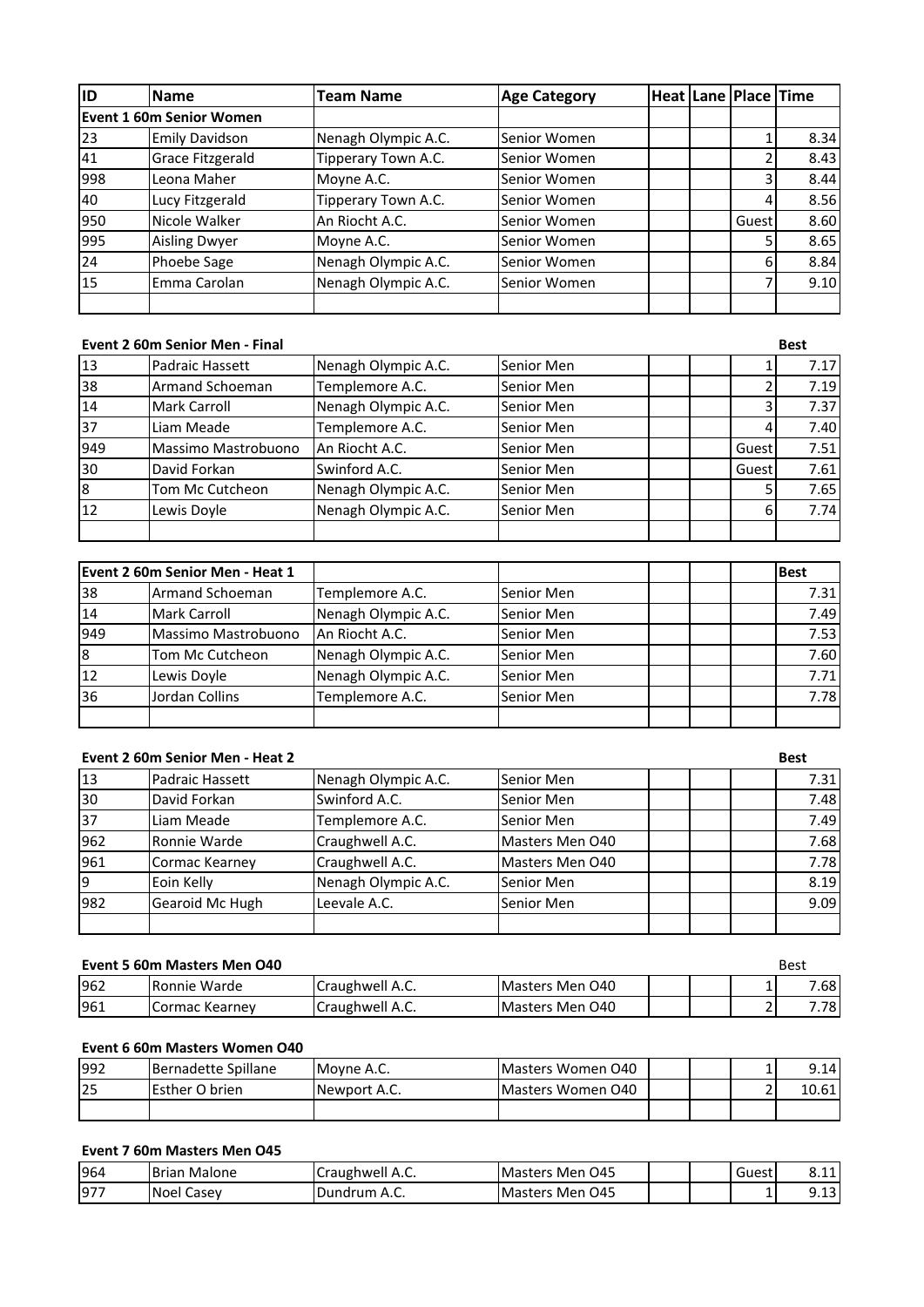| lıd             | <b>Name</b>              | <b>Team Name</b>    | <b>Age Category</b> |  | Heat Lane   Place   Time |      |
|-----------------|--------------------------|---------------------|---------------------|--|--------------------------|------|
|                 | Event 1 60m Senior Women |                     |                     |  |                          |      |
| 23              | <b>Emily Davidson</b>    | Nenagh Olympic A.C. | Senior Women        |  |                          | 8.34 |
| 41              | Grace Fitzgerald         | Tipperary Town A.C. | Senior Women        |  |                          | 8.43 |
| 998             | Leona Maher              | Moyne A.C.          | Senior Women        |  |                          | 8.44 |
| 40              | Lucy Fitzgerald          | Tipperary Town A.C. | Senior Women        |  |                          | 8.56 |
| 950             | Nicole Walker            | An Riocht A.C.      | Senior Women        |  | Guest                    | 8.60 |
| 995             | <b>Aisling Dwyer</b>     | Moyne A.C.          | Senior Women        |  |                          | 8.65 |
| 24              | Phoebe Sage              | Nenagh Olympic A.C. | Senior Women        |  | 6                        | 8.84 |
| $\overline{15}$ | Emma Carolan             | Nenagh Olympic A.C. | Senior Women        |  |                          | 9.10 |
|                 |                          |                     |                     |  |                          |      |

#### **Event 2 60m Senior Men - Final Best**

| 13  | <b>Padraic Hassett</b> | Nenagh Olympic A.C. | Senior Men |       | 7.17 |
|-----|------------------------|---------------------|------------|-------|------|
| 38  | <b>Armand Schoeman</b> | Templemore A.C.     | Senior Men |       | 7.19 |
| 14  | <b>Mark Carroll</b>    | Nenagh Olympic A.C. | Senior Men |       | 7.37 |
| 37  | Liam Meade             | Templemore A.C.     | Senior Men | 4     | 7.40 |
| 949 | Massimo Mastrobuono    | An Riocht A.C.      | Senior Men | Guest | 7.51 |
| 30  | David Forkan           | Swinford A.C.       | Senior Men | Guest | 7.61 |
| l8  | Tom Mc Cutcheon        | Nenagh Olympic A.C. | Senior Men |       | 7.65 |
| 12  | Lewis Doyle            | Nenagh Olympic A.C. | Senior Men | 61    | 7.74 |
|     |                        |                     |            |       |      |

|           | Event 2 60m Senior Men - Heat 1 |                     |            | <b>Best</b> |
|-----------|---------------------------------|---------------------|------------|-------------|
| 38        | <b>Armand Schoeman</b>          | Templemore A.C.     | Senior Men | 7.31        |
| 14        | <b>Mark Carroll</b>             | Nenagh Olympic A.C. | Senior Men | 7.49        |
| 949       | Massimo Mastrobuono             | An Riocht A.C.      | Senior Men | 7.53        |
| 8         | Tom Mc Cutcheon                 | Nenagh Olympic A.C. | Senior Men | 7.60        |
| <b>12</b> | Lewis Doyle                     | Nenagh Olympic A.C. | Senior Men | 7.71        |
| 36        | Jordan Collins                  | Templemore A.C.     | Senior Men | 7.78        |
|           |                                 |                     |            |             |

# **Event 2 60m Senior Men - Heat 2 Best**

|                        |                 |                     |                 | ---- |
|------------------------|-----------------|---------------------|-----------------|------|
| 13                     | Padraic Hassett | Nenagh Olympic A.C. | Senior Men      | 7.31 |
| 30                     | David Forkan    | Swinford A.C.       | Senior Men      | 7.48 |
| 37                     | Liam Meade      | Templemore A.C.     | Senior Men      | 7.49 |
| 962                    | Ronnie Warde    | Craughwell A.C.     | Masters Men O40 | 7.68 |
| 961                    | Cormac Kearney  | Craughwell A.C.     | Masters Men O40 | 7.78 |
| l9                     | Eoin Kelly      | Nenagh Olympic A.C. | Senior Men      | 8.19 |
| 982<br>Gearoid Mc Hugh | Leevale A.C.    | Senior Men          | 9.09            |      |
|                        |                 |                     |                 |      |

|     | Event 5 60m Masters Men O40 |                         |                 |  |  | <b>Best</b>      |
|-----|-----------------------------|-------------------------|-----------------|--|--|------------------|
| 962 | <b>Ronnie Warde</b>         | <b>Craughwell A.C.</b>  | Masters Men 040 |  |  | 7.68             |
| 961 | Cormac Kearney              | <b>ICraughwell A.C.</b> | Masters Men 040 |  |  | $^{\prime}$ .781 |

# **Event 6 60m Masters Women O40**

| 1992 | Bernadette Spillane   | Movne A.C.   | Masters Women 040 |  |   | 9.14  |
|------|-----------------------|--------------|-------------------|--|---|-------|
| 25   | <b>Esther O brien</b> | Newport A.C. | Masters Women 040 |  | - | 10.61 |
|      |                       |              |                   |  |   |       |

# **Event 7 60m Masters Men O45**

| 964    | <b>Brian Malone</b>  | <b>ICraughwell A.C.</b> | Men O45<br><b>I</b> Masters |  | Guest | 0.44<br>8.IL   |
|--------|----------------------|-------------------------|-----------------------------|--|-------|----------------|
| $97^-$ | <b>Noel</b><br>Casev | <b>IDundrum A.C.</b>    | <b>Masters Men 045</b>      |  |       | Q 12.<br>כּב.כ |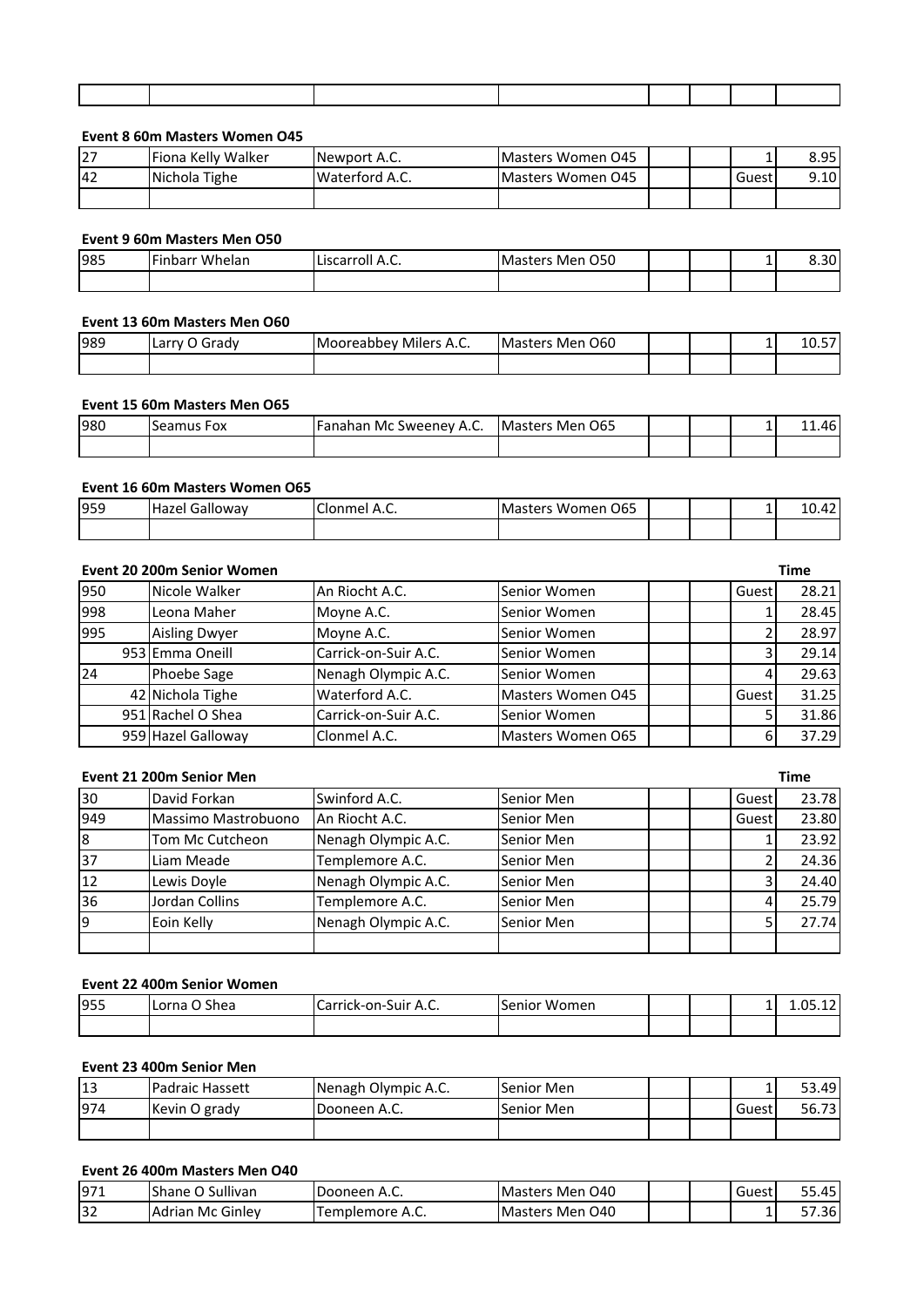# **Event 8 60m Masters Women O45**

| <b>27</b>  | <b>IFiona Kelly Walker</b> | Newport A.C.   | <b>IMasters Women 045</b> |  |        | 8.95  |
|------------|----------------------------|----------------|---------------------------|--|--------|-------|
| <b>142</b> | Nichola Tighe              | Waterford A.C. | Masters Women 045         |  | Guesti | 9.10I |
|            |                            |                |                           |  |        |       |

#### **Event 9 60m Masters Men O50**

| 985 | .<br>Finbarr Whelan | .<br>Liscarroll A.C. | O <sub>50</sub><br>Masters Men |  | - | ີ<br>-<br>u<br>ο. ου |
|-----|---------------------|----------------------|--------------------------------|--|---|----------------------|
|     |                     |                      |                                |  |   |                      |

#### **Event 13 60m Masters Men O60**

| 989 | Larry O Grady | ' Milers A.C.<br>I Mooreabbev | Masters Men 060 |  | - | $- -$<br>، ب ٻ |
|-----|---------------|-------------------------------|-----------------|--|---|----------------|
|     |               |                               |                 |  |   |                |

#### **Event 15 60m Masters Men O65**

| 980 | l Seamus<br>Fox | [Fanahan Mc Sweeney A.C. | Masters Men 065 |  | - | 1.46 |
|-----|-----------------|--------------------------|-----------------|--|---|------|
|     |                 |                          |                 |  |   |      |

## **Event 16 60m Masters Women O65**

| 959 | Galloway<br>Hazel | Clonmel<br>A.C. | O <sub>65</sub><br>Women<br><b>I</b> Masters |  | - | 10.42 |
|-----|-------------------|-----------------|----------------------------------------------|--|---|-------|
|     |                   |                 |                                              |  |   |       |

|     | Event 20 200m Senior Women |                      |                   |       | <b>Time</b> |
|-----|----------------------------|----------------------|-------------------|-------|-------------|
| 950 | Nicole Walker              | An Riocht A.C.       | Senior Women      | Guest | 28.21       |
| 998 | Leona Maher                | Moyne A.C.           | Senior Women      |       | 28.45       |
| 995 | <b>Aisling Dwyer</b>       | Moyne A.C.           | Senior Women      |       | 28.97       |
|     | 953 Emma Oneill            | Carrick-on-Suir A.C. | Senior Women      | 3     | 29.14       |
| 24  | Phoebe Sage                | Nenagh Olympic A.C.  | Senior Women      | 4     | 29.63       |
|     | 42 Nichola Tighe           | Waterford A.C.       | Masters Women 045 | Guest | 31.25       |
|     | 951 Rachel O Shea          | Carrick-on-Suir A.C. | Senior Women      |       | 31.86       |
|     | 959 Hazel Galloway         | Clonmel A.C.         | Masters Women O65 | 6     | 37.29       |

# **Event 21 200m Senior Men Time** 30 David Forkan Swinford A.C. Senior Men Guest 33.78 949 | Massimo Mastrobuono | An Riocht A.C. | Senior Men | | Guest | 23.80 8 Tom Mc Cutcheon Nenagh Olympic A.C. Senior Men 1 | 1 23.92 37 Liam Meade Templemore A.C. Senior Men | | | 2 24.36 12 Lewis Doyle Nenagh Olympic A.C. Senior Men | | | 3 24.40 36 Jordan Collins Templemore A.C. Senior Men 4 25.79 9 **Eoin Kelly 19 Allied Acc.** Senior Men 19 | 5 | 27.74

## **Event 22 400m Senior Women**

| 955 | つ Shea<br>l Lorna | -<br>Carrick-on-Suir A.C. | Women<br>Senior |  | - | $\sim$<br>n٤<br>1.03.12 |
|-----|-------------------|---------------------------|-----------------|--|---|-------------------------|
|     |                   |                           |                 |  |   |                         |

## **Event 23 400m Senior Men**

| 13  | Padraic Hassett | Nenagh Olympic A.C.  | Senior Men |  | -     | 53.49 |
|-----|-----------------|----------------------|------------|--|-------|-------|
| 974 | Kevin O grady   | <b>IDooneen A.C.</b> | Senior Men |  | Guest | 56.73 |
|     |                 |                      |            |  |       |       |

## **Event 26 400m Masters Men O40**

| 971 | Sullivan<br>$\sim$ $\sim$<br>.shane r<br>. U | IDooneen A.C.   | Men 040 .<br>lMasters |  | Guest | $\overline{ }$<br>55.45 |
|-----|----------------------------------------------|-----------------|-----------------------|--|-------|-------------------------|
| 32  | IAdrian Mc Ginley                            | Templemore A.C. | Men O40 ،<br>lMasters |  |       | .36'                    |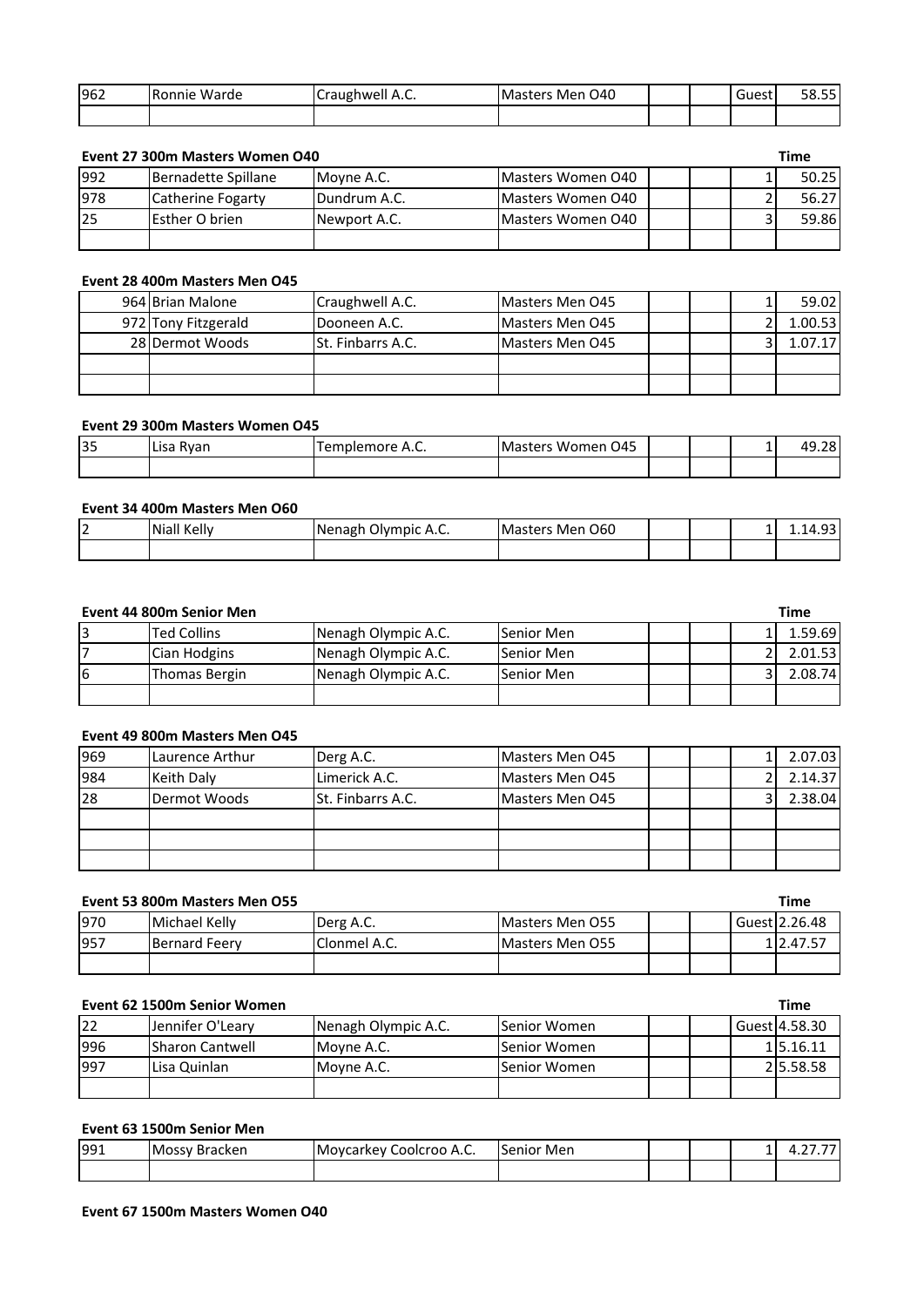| 962 | Ronnie Warde | Craughwell A.C. | <b>Masters Men 040</b> |  | ∽<br>Guest | 58.55 |
|-----|--------------|-----------------|------------------------|--|------------|-------|
|     |              |                 |                        |  |            |       |

## **Event 27 300m Masters Women O40 Time**

|     |                     |              |                   |  | .     |
|-----|---------------------|--------------|-------------------|--|-------|
| 992 | Bernadette Spillane | Movne A.C.   | Masters Women 040 |  | 50.25 |
| 978 | Catherine Fogarty   | Dundrum A.C. | Masters Women 040 |  | 56.27 |
| 25  | Esther O brien      | Newport A.C. | Masters Women 040 |  | 59.86 |
|     |                     |              |                   |  |       |

# **Event 28 400m Masters Men O45**

| 964 Brian Malone    | Craughwell A.C.          | Masters Men 045        |  | 59.02    |
|---------------------|--------------------------|------------------------|--|----------|
| 972 Tony Fitzgerald | Dooneen A.C.             | <b>Masters Men 045</b> |  | 1.00.531 |
| 28 Dermot Woods     | <b>St. Finbarrs A.C.</b> | <b>Masters Men 045</b> |  | 1.07.17' |
|                     |                          |                        |  |          |
|                     |                          |                        |  |          |

## **Event 29 300m Masters Women O45**

| 35 | Lisa Ryan | Femplemore A.C. | O45<br>.<br>: Women<br><b>IMasters</b> |  | <b>.</b> | ົາດ<br>лc<br>7.ZO |
|----|-----------|-----------------|----------------------------------------|--|----------|-------------------|
|    |           |                 |                                        |  |          |                   |

## **Event 34 400m Masters Men O60**

| י<br>L | Niall Kelly | $\sim$ 1<br><b>I</b> Nenagh<br>Olympic A.C. | Men 060 ו<br><b>I</b> Masters |  | <br>$\sim$<br>$\Delta$<br><b>1.17.JJ</b> |
|--------|-------------|---------------------------------------------|-------------------------------|--|------------------------------------------|
|        |             |                                             |                               |  |                                          |

## **Event 44 800m Senior Men Time**

|    | <b>Ted Collins</b> | Nenagh Olympic A.C. | Senior Men |  | 1.59.69          |
|----|--------------------|---------------------|------------|--|------------------|
|    | Cian Hodgins       | Nenagh Olympic A.C. | Senior Men |  | 2.01.53 <b>I</b> |
| l6 | Thomas Bergin      | Nenagh Olympic A.C. | Senior Men |  | 2.08.741         |
|    |                    |                     |            |  |                  |

## **Event 49 800m Masters Men O45**

| 969             | Laurence Arthur   | Derg A.C.                | Masters Men 045        |  | 2.07.03 |
|-----------------|-------------------|--------------------------|------------------------|--|---------|
| 984             | <b>Keith Daly</b> | Limerick A.C.            | <b>Masters Men 045</b> |  | 2.14.37 |
| $\overline{28}$ | Dermot Woods      | <b>St. Finbarrs A.C.</b> | <b>Masters Men 045</b> |  | 2.38.04 |
|                 |                   |                          |                        |  |         |
|                 |                   |                          |                        |  |         |
|                 |                   |                          |                        |  |         |

## **Event 53 800m Masters Men O55 Time**

| 970 | Michael Kelly        | Derg A.C.    | <b>IMasters Men O55</b> |  | Guest   2.26.48 |
|-----|----------------------|--------------|-------------------------|--|-----------------|
| 957 | <b>Bernard Feerv</b> | Clonmel A.C. | <b>IMasters Men O55</b> |  | 112.47.57       |
|     |                      |              |                         |  |                 |

## **Event 62 1500m Senior Women Time**

| 122 | IJennifer O'Learv       | Nenagh Olympic A.C. | <b>ISenior Women</b> |  | Guest 4.58.30 |
|-----|-------------------------|---------------------|----------------------|--|---------------|
| 996 | <b>ISharon Cantwell</b> | Movne A.C.          | <b>ISenior Women</b> |  | 115.16.11     |
| 997 | Lisa Quinlan            | Movne A.C.          | <b>Senior Women</b>  |  | 215.58.58     |
|     |                         |                     |                      |  |               |

# **Event 63 1500m Senior Men**

| 991 | <b>IMossy</b><br>' Bracken | Coolcroo A.C.<br><b>IMovcarkey</b> | Men<br>.Senior |  | . | $- -$<br>.<br>. |
|-----|----------------------------|------------------------------------|----------------|--|---|-----------------|
|     |                            |                                    |                |  |   |                 |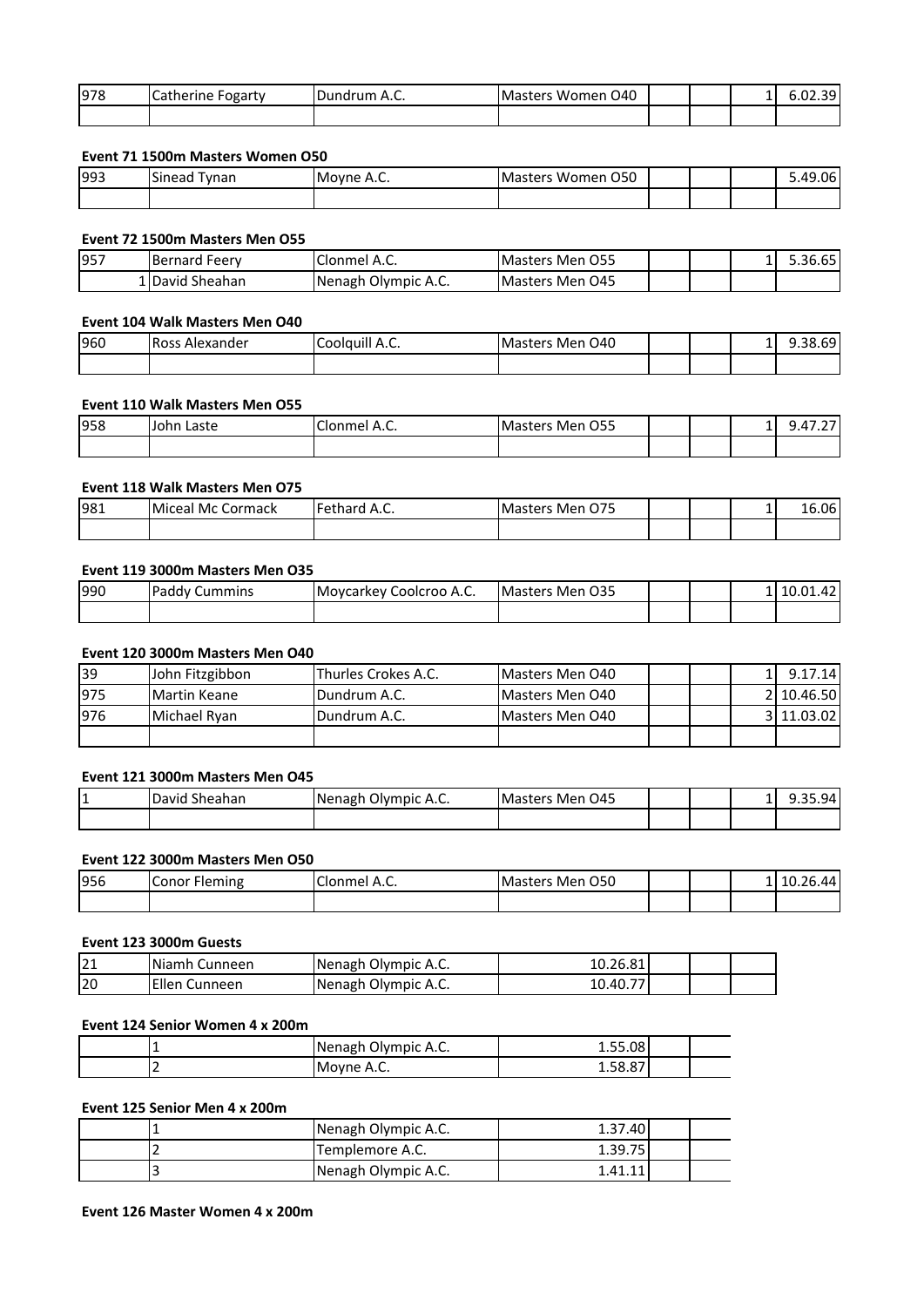| 978 | Catherine<br>Fogarty | Dundrum A.C. | Masters Women<br>O40 |  | <b>.</b> | 301<br> |
|-----|----------------------|--------------|----------------------|--|----------|---------|
|     |                      |              |                      |  |          |         |

## **Event 71 1500m Masters Women O50**

| 993 | Sinead<br>Tynan | Moyne A.C. | O50<br>Masters Women |  | 06.ږ<br>40 |
|-----|-----------------|------------|----------------------|--|------------|
|     |                 |            |                      |  |            |

## **Event 72 1500m Masters Men O55**

| 957 | Bernard<br>. Feerv | A.C.<br>lClonmel                | <b>IMasters Men O55</b> |  | $\sim$ $\sim$ $\sim$<br>- خ0.0د. ـ |
|-----|--------------------|---------------------------------|-------------------------|--|------------------------------------|
|     | 1 David Sheahan    | <b>Nenagh</b><br>↑ Olympic A.C. | <b>IMasters Men 045</b> |  |                                    |

## **Event 104 Walk Masters Men O40**

| 960 | <b>Ross Alexander</b> | $\cdots$<br>∽<br>. Coolduill A.C. | <b>Masters Men 040</b> |  | $\perp$ | 38.69″، |
|-----|-----------------------|-----------------------------------|------------------------|--|---------|---------|
|     |                       |                                   |                        |  |         |         |

## **Event 110 Walk Masters Men O55**

| 958 | Laste<br>IJohn | $\sim$<br>-<br>Clonmel A.C. | O <sub>55</sub><br>፡ Men<br><b>Masters</b> |  | $\perp$ | $\sim$ $-$<br><br>− 7 .∠. |
|-----|----------------|-----------------------------|--------------------------------------------|--|---------|---------------------------|
|     |                |                             |                                            |  |         |                           |

## **Event 118 Walk Masters Men O75**

| 981 | Miceal Mc Cormack | Fethard A.C. | rs Men 075<br><b>Masters</b> |  | - | 16.06 |
|-----|-------------------|--------------|------------------------------|--|---|-------|
|     |                   |              |                              |  |   |       |

## **Event 119 3000m Masters Men O35**

| 990 | Paddy<br>Cummins | Coolcroo A.C.<br><b>Movcarkey</b> | <b>Masters Men 035</b> |  | 1   10.01.42 |
|-----|------------------|-----------------------------------|------------------------|--|--------------|
|     |                  |                                   |                        |  |              |

# **Event 120 3000m Masters Men O40**

| 39  | John Fitzgibbon     | Thurles Crokes A.C.  | Masters Men 040 |  | 9.17.14    |
|-----|---------------------|----------------------|-----------------|--|------------|
| 975 | <b>Martin Keane</b> | <b>IDundrum A.C.</b> | Masters Men 040 |  | 2 10.46.50 |
| 976 | Michael Ryan        | <b>IDundrum A.C.</b> | Masters Men 040 |  | 3 11.03.02 |
|     |                     |                      |                 |  |            |

## **Event 121 3000m Masters Men O45**

| 1 T. | $\sim$ 1<br>David<br>Sheahan | <u>_</u><br>Olympic A.C.<br><b>I</b> Nenagh | Masters Men 045 |  | $\Omega$<br>74<br>----- |
|------|------------------------------|---------------------------------------------|-----------------|--|-------------------------|
|      |                              |                                             |                 |  |                         |

# **Event 122 3000m Masters Men O50**

| 956 | Conor F<br>Fleming | $\sim$<br>-<br>, clonmel A.C. | O50<br>Masters Men |  | 6.44<br>10.2 |
|-----|--------------------|-------------------------------|--------------------|--|--------------|
|     |                    |                               |                    |  |              |

# **Event 123 3000m Guests**

| 21 | Niamh Cunneen | <b>Nenagh Olympic A.C.</b>  | 10.26.81 |  |  |
|----|---------------|-----------------------------|----------|--|--|
| 20 | Ellen Cunneen | <b>INenagh Olympic A.C.</b> | 10.40.77 |  |  |

## **Event 124 Senior Women 4 x 200m**

|   | Nenagh Olympic A.C. | 1.55.08 |  |
|---|---------------------|---------|--|
| - | Moyne A.C.          | 1.JU.U  |  |

## **Event 125 Senior Men 4 x 200m**

| . .    | Nenagh Olympic A.C. | 1.37.40 |  |
|--------|---------------------|---------|--|
| $\sim$ | Templemore A.C.     | 1.39.75 |  |
| IJ     | Nenagh Olympic A.C. | 1.41.11 |  |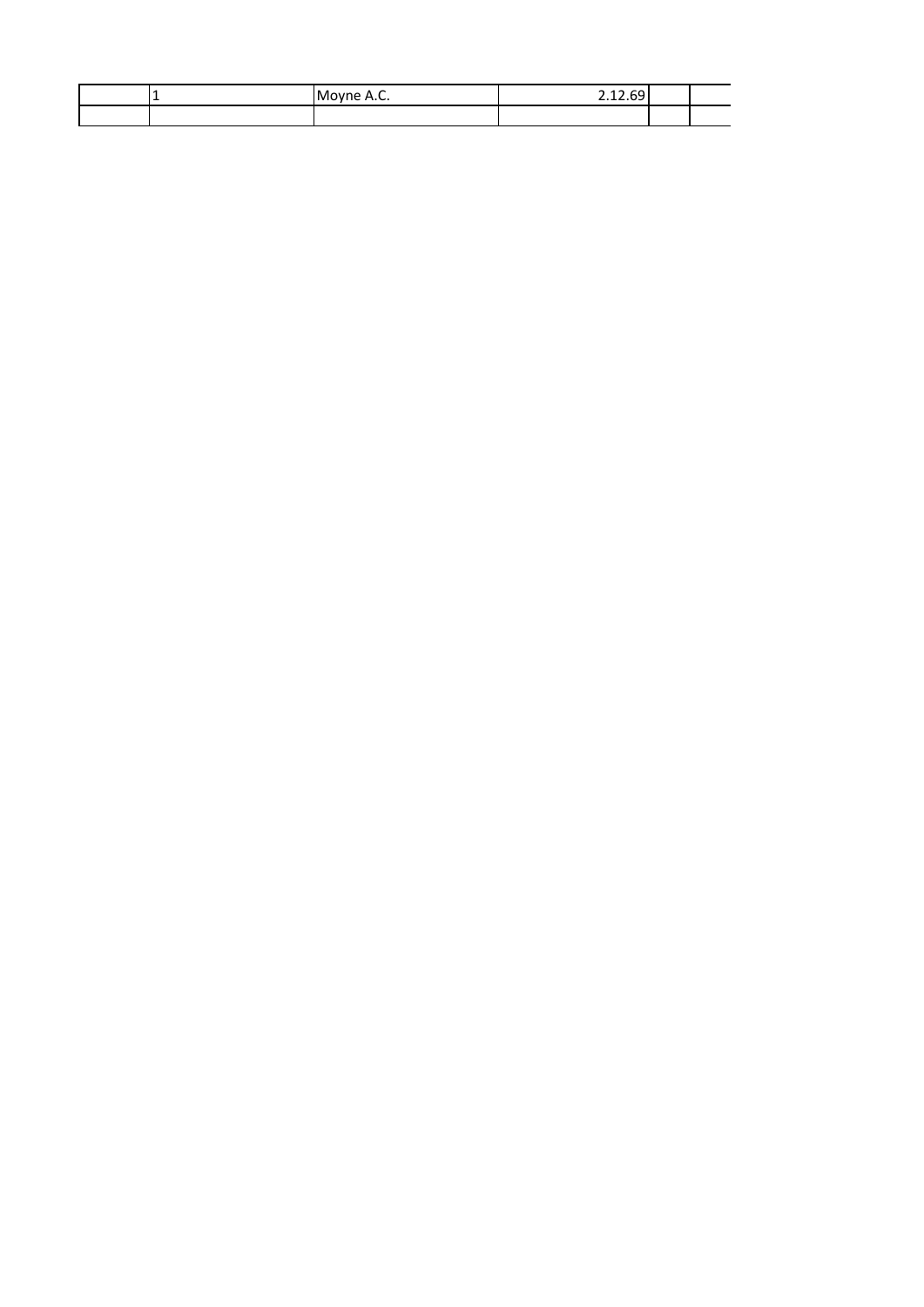| . . | -<br>Moyne A.C. | $\overline{\phantom{0}}$<br>$\sim$<br>ີ 4<br>∽<br>- - -<br>---- |  |
|-----|-----------------|-----------------------------------------------------------------|--|
|     |                 |                                                                 |  |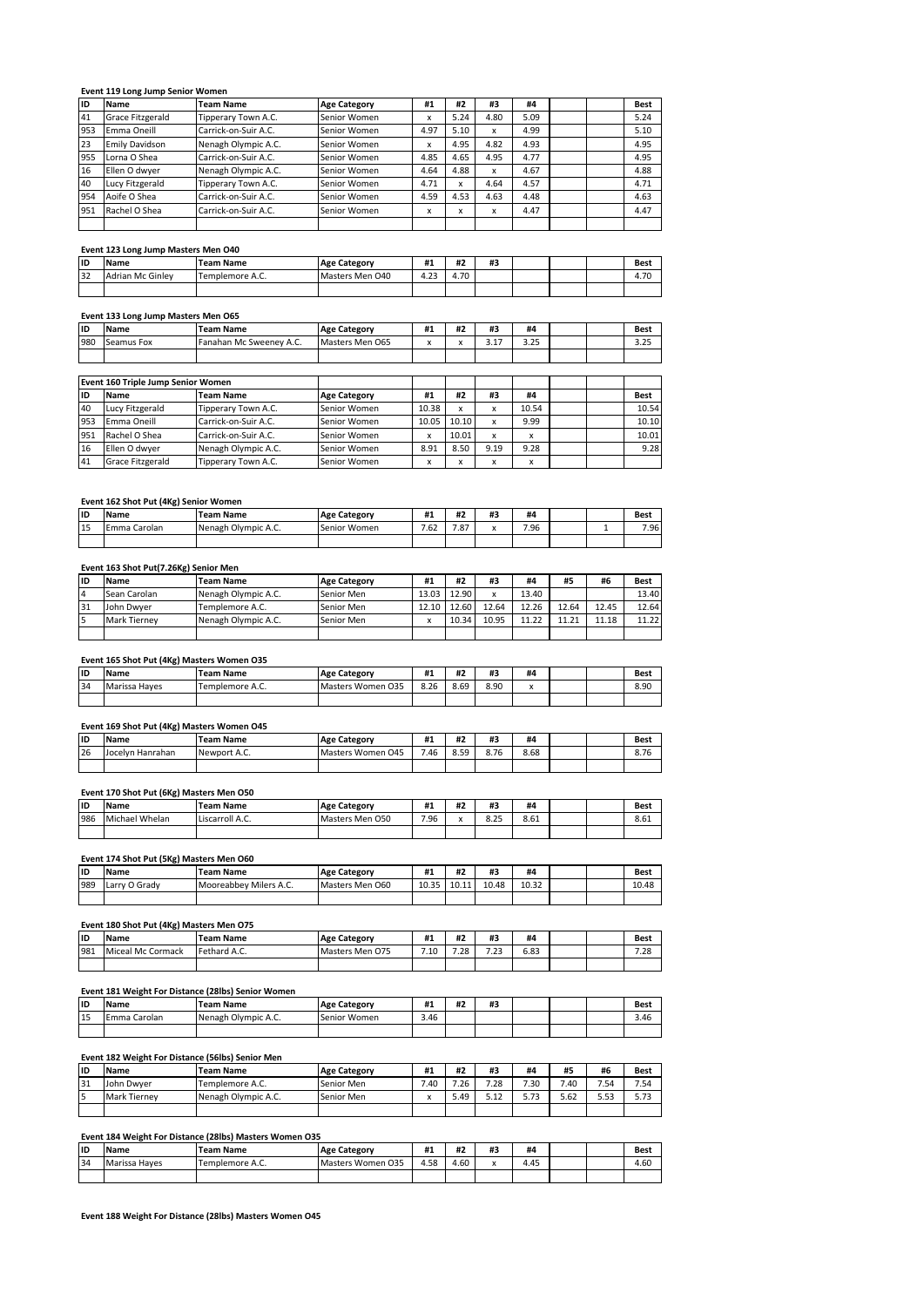#### **Event 119 Long Jump Senior Women**

| ID  | <b>Name</b>             | <b>Team Name</b>     | <b>Age Category</b> | #1   | #2   | #3          | #4   |  | <b>Best</b> |
|-----|-------------------------|----------------------|---------------------|------|------|-------------|------|--|-------------|
| 41  | <b>Grace Fitzgerald</b> | Tipperary Town A.C.  | Senior Women        | x    | 5.24 | 4.80        | 5.09 |  | 5.24        |
| 953 | Emma Oneill             | Carrick-on-Suir A.C. | Senior Women        | 4.97 | 5.10 | x           | 4.99 |  | 5.10        |
| 23  | <b>Emily Davidson</b>   | Nenagh Olympic A.C.  | Senior Women        | x    | 4.95 | 4.82        | 4.93 |  | 4.95        |
| 955 | Lorna O Shea            | Carrick-on-Suir A.C. | Senior Women        | 4.85 | 4.65 | 4.95        | 4.77 |  | 4.95        |
| 16  | Ellen O dwyer           | Nenagh Olympic A.C.  | Senior Women        | 4.64 | 4.88 | $\mathbf x$ | 4.67 |  | 4.88        |
| 40  | Lucy Fitzgerald         | Tipperary Town A.C.  | Senior Women        | 4.71 | x    | 4.64        | 4.57 |  | 4.71        |
| 954 | Aoife O Shea            | Carrick-on-Suir A.C. | Senior Women        | 4.59 | 4.53 | 4.63        | 4.48 |  | 4.63        |
| 951 | Rachel O Shea           | Carrick-on-Suir A.C. | Senior Women        | x    | x    | x           | 4.47 |  | 4.47        |
|     |                         |                      |                     |      |      |             |      |  |             |

#### **Event 123 Long Jump Masters Men O40**

| lıp | <b>Name</b>             | Team Name       | <b>Age Category</b> | #1             | #2        | <br>#3 |  | Best                   |
|-----|-------------------------|-----------------|---------------------|----------------|-----------|--------|--|------------------------|
| 32  | <b>Adrian Mc Ginley</b> | Templemore A.C. | Masters Men O40     | $\sim$<br>4.23 | 4.70<br>4 |        |  | $\sim$<br>ı.<br>+. / U |
|     |                         |                 |                     |                |           |        |  |                        |

# **Event 133 Long Jump Masters Men O65**

| liD | <b>Name</b>                        | <b>Team Name</b>        | <b>Age Category</b> | #1    | #2    | #3   | #4    |  | <b>Best</b> |
|-----|------------------------------------|-------------------------|---------------------|-------|-------|------|-------|--|-------------|
| 980 | Seamus Fox                         | Fanahan Mc Sweeney A.C. | Masters Men O65     | x     | x     | 3.17 | 3.25  |  | 3.25        |
|     |                                    |                         |                     |       |       |      |       |  |             |
|     |                                    |                         |                     |       |       |      |       |  |             |
|     | Event 160 Triple Jump Senior Women |                         |                     |       |       |      |       |  |             |
| lıD | <b>Name</b>                        | <b>Team Name</b>        | <b>Age Category</b> | #1    | #2    | #3   | #4    |  | <b>Best</b> |
| 40  | Lucy Fitzgerald                    | Tipperary Town A.C.     | Senior Women        | 10.38 | x     | x    | 10.54 |  | 10.54       |
| 953 | Emma Oneill                        | Carrick-on-Suir A.C.    | Senior Women        | 10.05 | 10.10 | x    | 9.99  |  | 10.10       |
| 951 | Rachel O Shea                      | Carrick-on-Suir A.C.    | Senior Women        | x     | 10.01 | x    | x     |  | 10.01       |
| 16  | Ellen O dwver                      | Nenagh Olympic A.C.     | Senior Women        | 8.91  | 8.50  | 9.19 | 9.28  |  | 9.28        |
| 41  | Grace Fitzgerald                   | Tipperary Town A.C.     | Senior Women        | x     | x     | x    | x     |  |             |

#### **Event 162 Shot Put (4Kg) Senior Women**

|     | .               |                     |                     |      |                 |              |      |  |      |
|-----|-----------------|---------------------|---------------------|------|-----------------|--------------|------|--|------|
| lıd | <br><b>Name</b> | Team Name           | <b>Age Category</b> | #1   | $\cdots$<br>Ħ4. | <br>#2       | #4   |  | Best |
| 15  | Carolan<br>Emma | Nenagh Olympic A.C. | Senior Women        | 7.62 | 707<br>ه.       | $\mathbf{v}$ | 7.96 |  | 7.96 |
|     |                 |                     |                     |      |                 |              |      |  |      |

#### **Event 163 Shot Put(7.26Kg) Senior Men**

| liD | Name                | Team Name           | <b>Age Category</b> | #1    | #2          | #3    | #4    | #5    | #6    | <b>Best</b> |
|-----|---------------------|---------------------|---------------------|-------|-------------|-------|-------|-------|-------|-------------|
| 4   | Sean Carolan        | Nenagh Olympic A.C. | Senior Men          | 13.03 | 12.90       |       | 13.40 |       |       | 13.40       |
| 31  | John Dwyer          | Templemore A.C.     | Senior Men          |       | 12.10 12.60 | 12.64 | 12.26 | 12.64 | 12.45 | 12.64       |
|     | <b>Mark Tierney</b> | Nenagh Olympic A.C. | Senior Men          |       | 10.34       | 10.95 | 11.22 | 11.21 | 11.18 | 11.22       |
|     |                     |                     |                     |       |             |       |       |       |       |             |

## **Event 165 Shot Put (4Kg) Masters Women O35**

| lıp | <b>Name</b>   | Team Name       | <b>Age Category</b> | #1<br>π. | #1<br> | #3<br>#2 | #4 |  | Best |
|-----|---------------|-----------------|---------------------|----------|--------|----------|----|--|------|
| 34  | Marissa Haves | Templemore A.C. | Masters Women 035   | 8.26     | 8.69   | 8.90     |    |  | 8.90 |
|     |               |                 |                     |          |        |          |    |  |      |

#### **Event 169 Shot Put (4Kg) Masters Women O45**

| lıp | Name                 | <b>Team Name</b> | <b>Age Category</b> | #1<br>11 J | $\cdots$<br>#4 | <br>π.       | #4   |  | <b>Best</b> |
|-----|----------------------|------------------|---------------------|------------|----------------|--------------|------|--|-------------|
| 26  | Hanrahan<br>-Jocelyn | Newport A.C.     | Masters Women 045   | 7.46       | 859<br>8.59    | 0.7c<br>8.70 | 8.68 |  | 8.76        |
|     |                      |                  |                     |            |                |              |      |  |             |

#### **Event 170 Shot Put (6Kg) Masters Men O50**

| lid | <b>Name</b>    | <b>Team Name</b> | <b>Age Category</b> | <br>11 J | $\cdots$<br>Ħ4 | #3            | #4             |  | <b>Best</b> |
|-----|----------------|------------------|---------------------|----------|----------------|---------------|----------------|--|-------------|
| 986 | Michael Whelan | Liscarroll A.C.  | Masters Men O50     | 7.96     | $\mathbf{v}$   | 0.25<br>ر ے . | 0.01<br>8. O L |  | 8.61        |
|     |                |                  |                     |          |                |               |                |  |             |

#### **Event 174 Shot Put (5Kg) Masters Men O60**

| lıd | <b>Name</b>   | Team Name              | <b>Age Category</b> | <br>#1         | <br><b>#4</b> | <br>n = | #4             |  | <b>Best</b> |
|-----|---------------|------------------------|---------------------|----------------|---------------|---------|----------------|--|-------------|
| 989 | Larry O Grady | Mooreabbey Milers A.C. | Masters Men 060     | 10 35<br>10.JJ | 10.II         | 10.48   | 10.32<br>10.JZ |  | 10.48       |
|     |               |                        |                     |                |               |         |                |  |             |

## **Event 180 Shot Put (4Kg) Masters Men O75**

| <b>IID</b> | <b>Name</b>       | <b>Team Name</b> | <b>Age Category</b> | #1<br>11 J | <br>n z | #3                                      | #4   |  | <b>Best</b>   |
|------------|-------------------|------------------|---------------------|------------|---------|-----------------------------------------|------|--|---------------|
| 981        | Miceal Mc Cormack | Fethard A.C.     | Masters Men O75     | 7.10       | 7.28    | $\overline{ }$ $\overline{ }$<br>ت که د | 6.83 |  | 7.20<br>0٤، ا |
|            |                   |                  |                     |            |         |                                         |      |  |               |

#### **Event 181 Weight For Distance (28lbs) Senior Women**

| <b>IID</b> | <b>Name</b>       | <b>Team Name</b>    | <b>Age Category</b> | <br>Ħ. | <br>Ħ 4 | $\cdots$<br>≖ |  | Best |
|------------|-------------------|---------------------|---------------------|--------|---------|---------------|--|------|
| 15         | Carolan<br>: mmn. | Nenagh Olympic A.C. | Senior Women        | 3.46   |         |               |  | 3.4t |
|            |                   |                     |                     |        |         |               |  |      |

#### **Event 182 Weight For Distance (56lbs) Senior Men**

| lıd | <b>Name</b>         | <b>Team Name</b>    | <b>Age Category</b> | #1  | #2   | #3    | #4                  | #5   | #6   | Best            |
|-----|---------------------|---------------------|---------------------|-----|------|-------|---------------------|------|------|-----------------|
| 31  | John Dwyer          | Templemore A.C.     | Senior Men          | .40 | 7.26 | 7.28  | 7.30                | .40  | 7.54 | 7.54            |
|     | <b>Mark Tierney</b> | Nenagh Olympic A.C. | Senior Men          |     | 5.49 | ے ۔۔۔ | $\mathbf{z}$<br>כ כ | 5.62 | 5.53 | - 72<br>د ، ، د |
|     |                     |                     |                     |     |      |       |                     |      |      |                 |

#### **Event 184 Weight For Distance (28lbs) Masters Women O35**

| ID | Name          | <b>Team Name</b> | <b>Age Category</b> | #1   | #2   | #2<br>Ħ. | #4   |  | <b>Best</b> |
|----|---------------|------------------|---------------------|------|------|----------|------|--|-------------|
| 34 | Marissa Haves | Templemore A.C.  | Masters Women 035   | 4.58 | 4.60 | ́        | 4.45 |  | 4.60        |
|    |               |                  |                     |      |      |          |      |  |             |

**Event 188 Weight For Distance (28lbs) Masters Women O45**